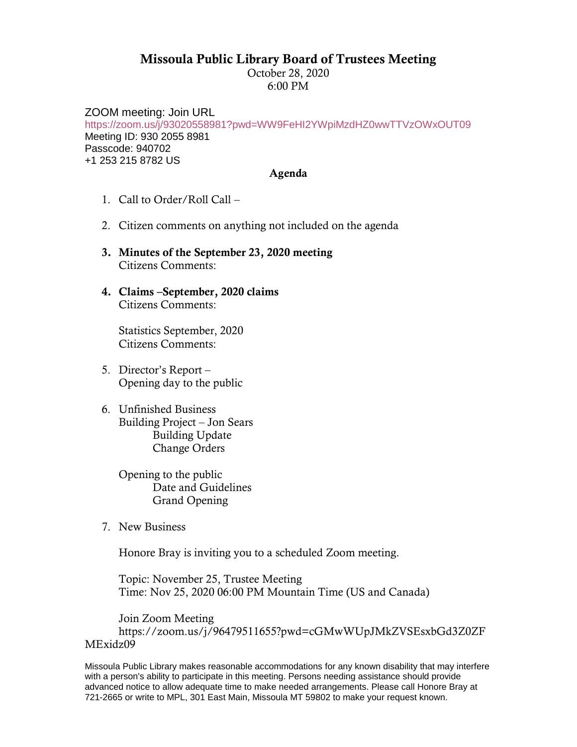## Missoula Public Library Board of Trustees Meeting

October 28, 2020 6:00 PM

ZOOM meeting: Join URL <https://zoom.us/j/93020558981?pwd=WW9FeHI2YWpiMzdHZ0wwTTVzOWxOUT09> Meeting ID: 930 2055 8981 Passcode: 940702 +1 253 215 8782 US

## Agenda

- 1. Call to Order/Roll Call –
- 2. Citizen comments on anything not included on the agenda
- 3. Minutes of the September 23, 2020 meeting Citizens Comments:
- 4. Claims –September, 2020 claims Citizens Comments:

Statistics September, 2020 Citizens Comments:

- 5. Director's Report Opening day to the public
- 6. Unfinished Business Building Project – Jon Sears Building Update Change Orders

Opening to the public Date and Guidelines Grand Opening

7. New Business

Honore Bray is inviting you to a scheduled Zoom meeting.

Topic: November 25, Trustee Meeting Time: Nov 25, 2020 06:00 PM Mountain Time (US and Canada)

Join Zoom Meeting https://zoom.us/j/96479511655?pwd=cGMwWUpJMkZVSEsxbGd3Z0ZF MExidz09

Missoula Public Library makes reasonable accommodations for any known disability that may interfere with a person's ability to participate in this meeting. Persons needing assistance should provide advanced notice to allow adequate time to make needed arrangements. Please call Honore Bray at 721-2665 or write to MPL, 301 East Main, Missoula MT 59802 to make your request known.